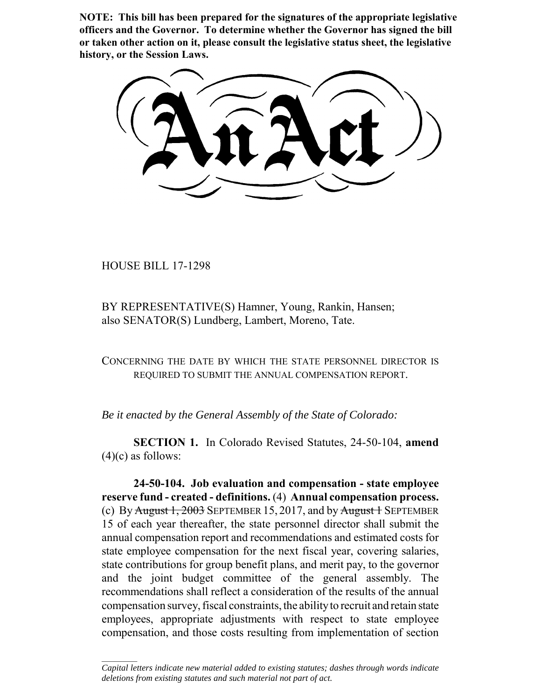**NOTE: This bill has been prepared for the signatures of the appropriate legislative officers and the Governor. To determine whether the Governor has signed the bill or taken other action on it, please consult the legislative status sheet, the legislative history, or the Session Laws.**

HOUSE BILL 17-1298

 $\frac{1}{2}$ 

BY REPRESENTATIVE(S) Hamner, Young, Rankin, Hansen; also SENATOR(S) Lundberg, Lambert, Moreno, Tate.

CONCERNING THE DATE BY WHICH THE STATE PERSONNEL DIRECTOR IS REQUIRED TO SUBMIT THE ANNUAL COMPENSATION REPORT.

*Be it enacted by the General Assembly of the State of Colorado:*

**SECTION 1.** In Colorado Revised Statutes, 24-50-104, **amend**  $(4)(c)$  as follows:

**24-50-104. Job evaluation and compensation - state employee reserve fund - created - definitions.** (4) **Annual compensation process.** (c) By August 1, 2003 SEPTEMBER 15, 2017, and by August 1 SEPTEMBER 15 of each year thereafter, the state personnel director shall submit the annual compensation report and recommendations and estimated costs for state employee compensation for the next fiscal year, covering salaries, state contributions for group benefit plans, and merit pay, to the governor and the joint budget committee of the general assembly. The recommendations shall reflect a consideration of the results of the annual compensation survey, fiscal constraints, the ability to recruit and retain state employees, appropriate adjustments with respect to state employee compensation, and those costs resulting from implementation of section

*Capital letters indicate new material added to existing statutes; dashes through words indicate deletions from existing statutes and such material not part of act.*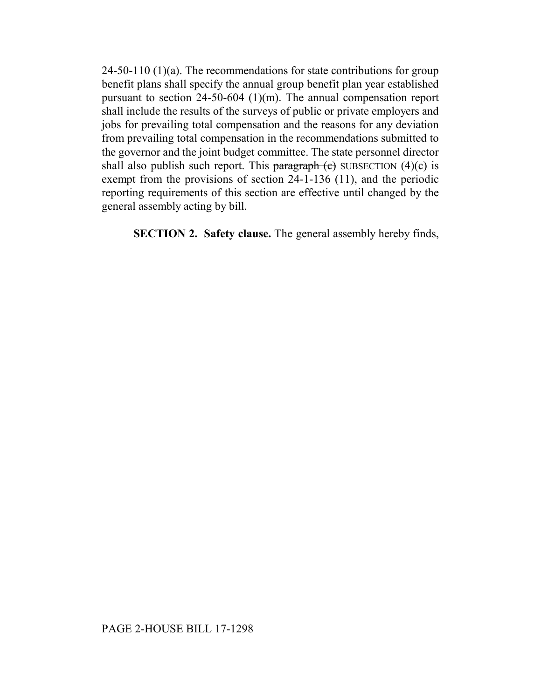24-50-110 (1)(a). The recommendations for state contributions for group benefit plans shall specify the annual group benefit plan year established pursuant to section 24-50-604 (1)(m). The annual compensation report shall include the results of the surveys of public or private employers and jobs for prevailing total compensation and the reasons for any deviation from prevailing total compensation in the recommendations submitted to the governor and the joint budget committee. The state personnel director shall also publish such report. This paragraph  $(e)$  SUBSECTION  $(4)(c)$  is exempt from the provisions of section 24-1-136 (11), and the periodic reporting requirements of this section are effective until changed by the general assembly acting by bill.

**SECTION 2. Safety clause.** The general assembly hereby finds,